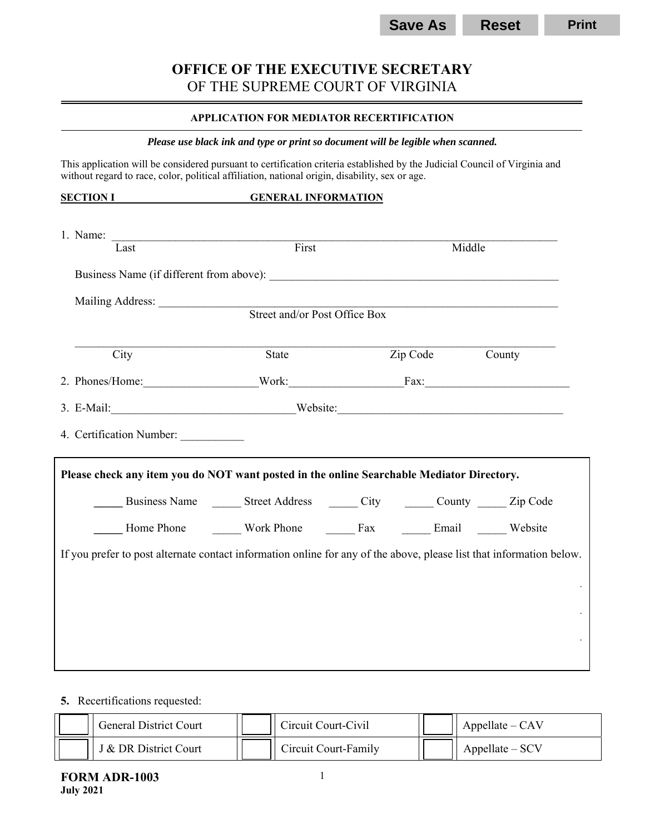# **OFFICE OF THE EXECUTIVE SECRETARY**  OF THE SUPREME COURT OF VIRGINIA

#### **APPLICATION FOR MEDIATOR RECERTIFICATION**

#### *Please use black ink and type or print so document will be legible when scanned.*

This application will be considered pursuant to certification criteria established by the Judicial Council of Virginia and without regard to race, color, political affiliation, national origin, disability, sex or age.

| 1. Name:<br>Last                                                                                                                                                                                                                   | First |                                                               | Middle |
|------------------------------------------------------------------------------------------------------------------------------------------------------------------------------------------------------------------------------------|-------|---------------------------------------------------------------|--------|
|                                                                                                                                                                                                                                    |       |                                                               |        |
|                                                                                                                                                                                                                                    |       |                                                               |        |
| Mailing Address: Street and/or Post Office Box                                                                                                                                                                                     |       |                                                               |        |
|                                                                                                                                                                                                                                    |       |                                                               |        |
| City                                                                                                                                                                                                                               | State | Zip Code                                                      | County |
| 2. Phones/Home: Work: Fax: Fax:                                                                                                                                                                                                    |       |                                                               |        |
|                                                                                                                                                                                                                                    |       |                                                               |        |
| 4. Certification Number:                                                                                                                                                                                                           |       |                                                               |        |
| Please check any item you do NOT want posted in the online Searchable Mediator Directory.                                                                                                                                          |       |                                                               |        |
|                                                                                                                                                                                                                                    |       | Business Name The Street Address The City The County The Code |        |
| Home Phone <b>Conserver Work Phone Conserver Conserver Conserver Conserver Conserver Conserver Conserver Conserver Conserver Conserver Conserver Conserver Conserver Conserver Conserver Conserver Conserver Conserver Conserv</b> |       |                                                               |        |
| If you prefer to post alternate contact information online for any of the above, please list that information below.                                                                                                               |       |                                                               |        |
|                                                                                                                                                                                                                                    |       |                                                               |        |
|                                                                                                                                                                                                                                    |       |                                                               |        |
|                                                                                                                                                                                                                                    |       |                                                               |        |
|                                                                                                                                                                                                                                    |       |                                                               |        |
|                                                                                                                                                                                                                                    |       |                                                               |        |

## **5.** Recertifications requested:

| <b>General District Court</b> | Circuit Court-Civil  | $Appellate - CAV$              |
|-------------------------------|----------------------|--------------------------------|
| J & DR District Court         | Circuit Court-Family | $\blacksquare$ Appellate – SCV |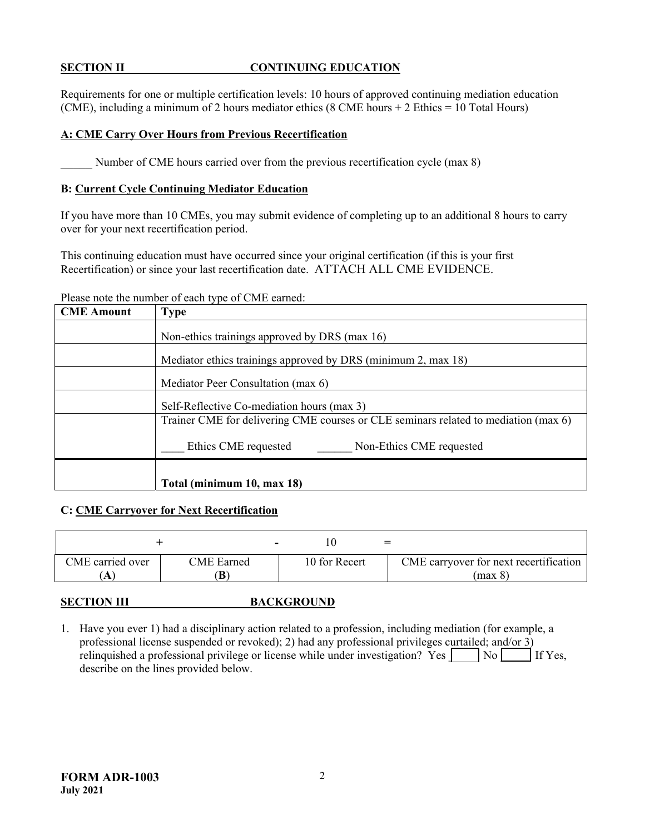#### **SECTION II CONTINUING EDUCATION**

Requirements for one or multiple certification levels: 10 hours of approved continuing mediation education (CME), including a minimum of 2 hours mediator ethics (8 CME hours + 2 Ethics = 10 Total Hours)

#### **A: CME Carry Over Hours from Previous Recertification**

Number of CME hours carried over from the previous recertification cycle (max 8)

#### **B: Current Cycle Continuing Mediator Education**

If you have more than 10 CMEs, you may submit evidence of completing up to an additional 8 hours to carry over for your next recertification period.

This continuing education must have occurred since your original certification (if this is your first Recertification) or since your last recertification date. ATTACH ALL CME EVIDENCE.

#### Please note the number of each type of CME earned:

| <b>CME Amount</b> | Type                                                                                |  |  |  |  |
|-------------------|-------------------------------------------------------------------------------------|--|--|--|--|
|                   | Non-ethics trainings approved by DRS (max 16)                                       |  |  |  |  |
|                   | Mediator ethics trainings approved by DRS (minimum 2, max 18)                       |  |  |  |  |
|                   | Mediator Peer Consultation (max 6)                                                  |  |  |  |  |
|                   | Self-Reflective Co-mediation hours (max 3)                                          |  |  |  |  |
|                   | Trainer CME for delivering CME courses or CLE seminars related to mediation (max 6) |  |  |  |  |
|                   | Ethics CME requested<br>Non-Ethics CME requested                                    |  |  |  |  |
|                   |                                                                                     |  |  |  |  |
|                   | Total (minimum 10, max 18)                                                          |  |  |  |  |

### **C: CME Carryover for Next Recertification**

| CME carried over<br><b>CME</b> Earned | 10 for Recert | CME carryover for next recertification<br>(max 8) |
|---------------------------------------|---------------|---------------------------------------------------|

### **SECTION III BACKGROUND**

1. Have you ever 1) had a disciplinary action related to a profession, including mediation (for example, a professional license suspended or revoked); 2) had any professional privileges curtailed; and/or 3) relinquished a professional privilege or license while under investigation? Yes  $\Box$  No  $\Box$  If Yes, describe on the lines provided below.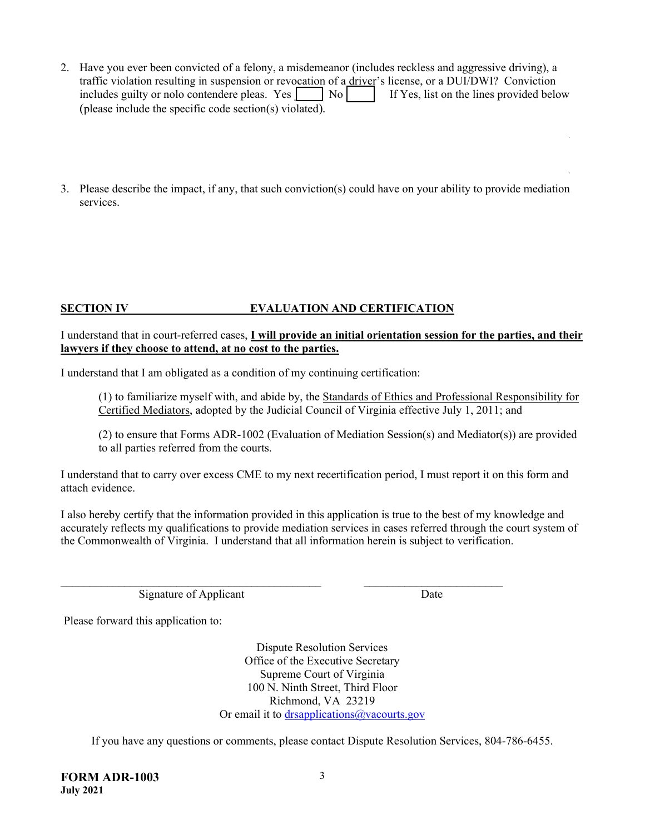- 2. Have you ever been convicted of a felony, a misdemeanor (includes reckless and aggressive driving), a traffic violation resulting in suspension or revocation of a driver's license, or a DUI/DWI? Conviction includes guilty or nolo contendere pleas. Yes  $\Box$  No  $\Box$  If Yes, list on the lines provided below (please include the specific code section(s) violated)*.*
- 3. Please describe the impact, if any, that such conviction(s) could have on your ability to provide mediation services.

# **SECTION IV EVALUATION AND CERTIFICATION**

#### I understand that in court-referred cases, **I will provide an initial orientation session for the parties, and their lawyers if they choose to attend, at no cost to the parties.**

I understand that I am obligated as a condition of my continuing certification:

(1) to familiarize myself with, and abide by, the Standards of Ethics and Professional Responsibility for Certified Mediators, adopted by the Judicial Council of Virginia effective July 1, 2011; and

(2) to ensure that Forms ADR-1002 (Evaluation of Mediation Session(s) and Mediator(s)) are provided to all parties referred from the courts.

I understand that to carry over excess CME to my next recertification period, I must report it on this form and attach evidence.

I also hereby certify that the information provided in this application is true to the best of my knowledge and accurately reflects my qualifications to provide mediation services in cases referred through the court system of the Commonwealth of Virginia. I understand that all information herein is subject to verification.

Signature of Applicant Date

Please forward this application to:

Dispute Resolution Services Office of the Executive Secretary Supreme Court of Virginia 100 N. Ninth Street, Third Floor Richmond, VA 23219 Or email it to drsapplications@vacourts.gov

If you have any questions or comments, please contact Dispute Resolution Services, 804-786-6455.